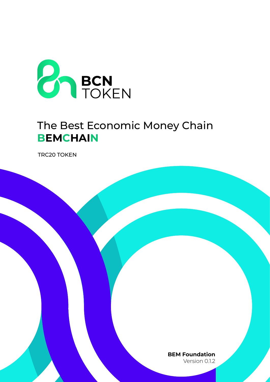

## The Best Economic Money Chain **BEMCHAIN**

**TRC20 TOKEN** 

**BEM** Foundation Version 0.1.2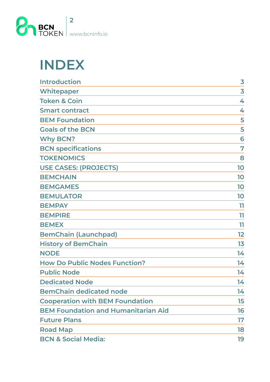

# **INDEX**

| <b>Introduction</b>                        | 3  |
|--------------------------------------------|----|
| <b>Whitepaper</b>                          | 3  |
| <b>Token &amp; Coin</b>                    | 4  |
| <b>Smart contract</b>                      | 4  |
| <b>BEM Foundation</b>                      | 5  |
| <b>Goals of the BCN</b>                    | 5  |
| <b>Why BCN?</b>                            | 6  |
| <b>BCN specifications</b>                  | 7  |
| <b>TOKENOMICS</b>                          | 8  |
| <b>USE CASES: (PROJECTS)</b>               | 10 |
| <b>BEMCHAIN</b>                            | 10 |
| <b>BEMGAMES</b>                            | 10 |
| <b>BEMULATOR</b>                           | 10 |
| <b>BEMPAY</b>                              | 11 |
| <b>BEMPIRE</b>                             | 11 |
| <b>BEMEX</b>                               | 11 |
| <b>BemChain (Launchpad)</b>                | 12 |
| <b>History of BemChain</b>                 | 13 |
| <b>NODE</b>                                | 14 |
| <b>How Do Public Nodes Function?</b>       | 14 |
| <b>Public Node</b>                         | 14 |
| <b>Dedicated Node</b>                      | 14 |
| <b>BemChain dedicated node</b>             | 14 |
| <b>Cooperation with BEM Foundation</b>     | 15 |
| <b>BEM Foundation and Humanitarian Aid</b> | 16 |
| <b>Future Plans</b>                        | 17 |
| <b>Road Map</b>                            | 18 |
| <b>BCN &amp; Social Media:</b>             | 19 |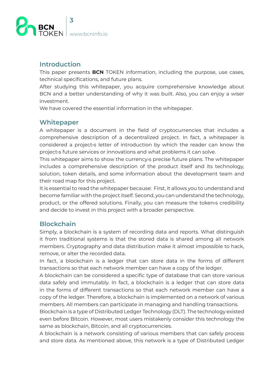<span id="page-2-0"></span>

#### **Introduction**

This paper presents **BCN** TOKEN information, including the purpose, use cases, technical specifications, and future plans.

After studying this whitepaper, you acquire comprehensive knowledge about BCN and a better understanding of why it was built. Also, you can enjoy a wiser .investment

We have covered the essential information in the whitepaper.

## **Whitepaper**

A whitepaper is a document in the field of cryptocurrencies that includes a comprehensive description of a decentralized project. In fact, a whitepaper is considered a project is letter of introduction by which the reader can know the project is future services or innovations and what problems it can solve.

This whitepaper aims to show the currency is precise future plans. The whitepaper includes a comprehensive description of the product itself and its technology, solution, token details, and some information about the development team and their road map for this project.

It is essential to read the whitepaper because: First, it allows you to understand and become familiar with the project itself. Second, you can understand the technology, product, or the offered solutions. Finally, you can measure the token>s credibility and decide to invest in this project with a broader perspective.

## **Blockchain**

Simply, a blockchain is a system of recording data and reports. What distinguish it from traditional systems is that the stored data is shared among all network members. Cryptography and data distribution make it almost impossible to hack, remove, or alter the recorded data.

In fact, a blockchain is a ledger that can store data in the forms of different transactions so that each network member can have a copy of the ledger.

A blockchain can be considered a specific type of database that can store various data safely and immutably. In fact, a blockchain is a ledger that can store data in the forms of different transactions so that each network member can have a copy of the ledger. Therefore, a blockchain is implemented on a network of various members. All members can participate in managing and handling transactions.

Blockchain is a type of Distributed Ledger Technology (DLT). The technology existed even before Bitcoin. However, most users mistakenly consider this technology the same as blockchain, Bitcoin, and all cryptocurrencies.

A blockchain is a network consisting of various members that can safely process and store data. As mentioned above, this network is a type of Distributed Ledger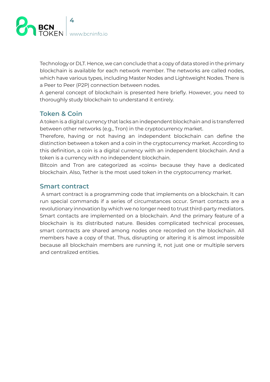<span id="page-3-0"></span>

Technology or DLT. Hence, we can conclude that a copy of data stored in the primary blockchain is available for each network member. The networks are called nodes. which have various types, including Master Nodes and Lightweight Nodes. There is a Peer to Peer (P2P) connection between nodes.

A general concept of blockchain is presented here briefly. However, you need to thoroughly study blockchain to understand it entirely.

#### **Token & Coin**

A token is a digital currency that lacks an independent blockchain and is transferred between other networks (e.g., Tron) in the cryptocurrency market.

Therefore, having or not having an independent blockchain can define the distinction between a token and a coin in the cryptocurrency market. According to this definition, a coin is a digital currency with an independent blockchain. And a token is a currency with no independent blockchain.

Bitcoin and Tron are categorized as «coins» because they have a dedicated blockchain. Also, Tether is the most used token in the cryptocurrency market.

#### **Smart** contract

A smart contract is a programming code that implements on a blockchain. It can run special commands if a series of circumstances occur. Smart contacts are a revolutionary innovation by which we no longer need to trust third-party mediators. Smart contacts are implemented on a blockchain. And the primary feature of a blockchain is its distributed nature. Besides complicated technical processes, smart contracts are shared among nodes once recorded on the blockchain. All members have a copy of that. Thus, disrupting or altering it is almost impossible because all blockchain members are running it, not just one or multiple servers and centralized entities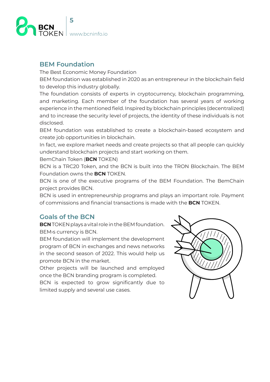<span id="page-4-0"></span>

## **BEM** Foundation

The Best Economic Money Foundation

BEM foundation was established in 2020 as an entrepreneur in the blockchain field to develop this industry globally.

The foundation consists of experts in cryptocurrency, blockchain programming, and marketing. Each member of the foundation has several years of working experience in the mentioned field. Inspired by blockchain principles (decentralized) and to increase the security level of projects, the identity of these individuals is not disclosed.

BEM foundation was established to create a blockchain-based ecosystem and create job opportunities in blockchain.

In fact, we explore market needs and create projects so that all people can quickly understand blockchain projects and start working on them.

BemChain Token (BCN TOKEN)

BCN is a TRC20 Token, and the BCN is built into the TRON Blockchain. The BEM Foundation owns the **BCN** TOKEN.

BCN is one of the executive programs of the BEM Foundation. The BemChain project provides BCN.

BCN is used in entrepreneurship programs and plays an important role. Payment of commissions and financial transactions is made with the **BCN** TOKEN

## **Goals of the BCN**

**BCN** TOKEN plays a vital role in the BEM foundation. BEM>s currency is BCN.

BEM foundation will implement the development program of BCN in exchanges and news networks in the second season of 2022. This would help us promote BCN in the market.

Other projects will be launched and employed once the BCN branding program is completed.

BCN is expected to grow significantly due to limited supply and several use cases.

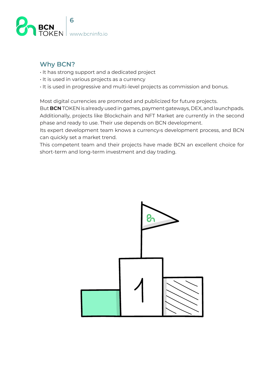<span id="page-5-0"></span>

## **Why BCN?**

- $\cdot$  It has strong support and a dedicated project
- $\cdot$  It is used in various projects as a currency
- $\cdot$  It is used in progressive and multi-level projects as commission and bonus.

Most digital currencies are promoted and publicized for future projects.

But **BCN** TOKEN is already used in games, payment gateways, DEX, and launchpads. Additionally, projects like Blockchain and NFT Market are currently in the second phase and ready to use. Their use depends on BCN development.

Its expert development team knows a currency is development process, and BCN can quickly set a market trend.

This competent team and their projects have made BCN an excellent choice for short-term and long-term investment and day trading.

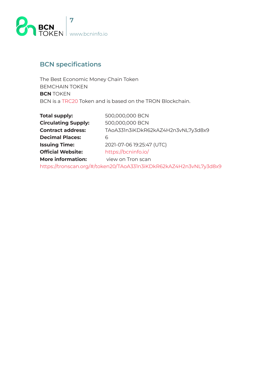<span id="page-6-0"></span>

## **BCN** specifications

The Best Economic Money Chain Token BEMCHAIN TOKEN **BCN** TOKEN BCN is a TRC20 Token and is based on the TRON Blockchain.

| <b>Total supply:</b>       | 500,000,000 BCN                                                   |  |  |
|----------------------------|-------------------------------------------------------------------|--|--|
| <b>Circulating Supply:</b> | 500,000,000 BCN                                                   |  |  |
| <b>Contract address:</b>   | TAoA331n3iKDkR62kAZ4H2n3vNL7y3d8x9                                |  |  |
| <b>Decimal Places:</b>     | 6                                                                 |  |  |
| <b>Issuing Time:</b>       | 2021-07-06 19:25:47 (UTC)                                         |  |  |
| <b>Official Website:</b>   | https://bcninfo.io/                                               |  |  |
| <b>More information:</b>   | view on Tron scan                                                 |  |  |
|                            | https://tronscan.org/#/token20/TAoA331n3iKDkR62kAZ4H2n3vNL7y3d8x9 |  |  |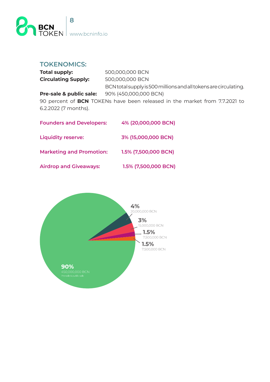<span id="page-7-0"></span>

#### **:TOKENOMICS**

| <b>Total supply:</b>       | 500,000,000 BCN                                                  |
|----------------------------|------------------------------------------------------------------|
| <b>Circulating Supply:</b> | 500,000,000 BCN                                                  |
|                            | BCN total supply is 500 millions and all tokens are circulating. |
| Pre-sale & public sale:    | 90% (450,000,000 BCN)                                            |
| $\sim$ $\sim$              |                                                                  |

90 percent of BCN TOKENs have been released in the market from 7.7.2021 to 6.2.2022 (7 months).

| <b>Founders and Developers:</b> | 4% (20,000,000 BCN)  |
|---------------------------------|----------------------|
| <b>Liquidity reserve:</b>       | 3% (15,000,000 BCN)  |
| <b>Marketing and Promotion:</b> | 1.5% (7,500,000 BCN) |
| <b>Airdrop and Giveaways:</b>   | 1.5% (7,500,000 BCN) |

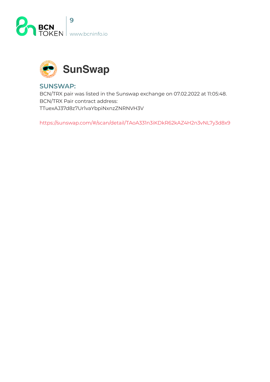



#### **:SUNSWAP**

BCN/TRX pair was listed in the Sunswap exchange on 07.02.2022 at 11:05:48. BCN/TRX Pair contract address: TTuexAJ37d8z7Ur1vaYbpiNxnzZNRNVH3V

https://sunswap.com/#/scan/detail/TAoA331n3iKDkR62kAZ4H2n3vNL7y3d8x9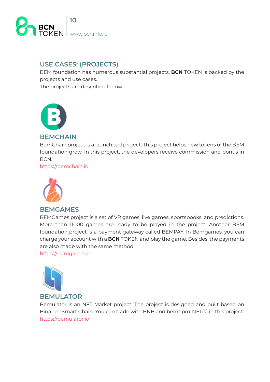<span id="page-9-0"></span>

## **USE CASES: (PROJECTS)**

BEM foundation has numerous substantial projects. **BCN** TOKEN is backed by the projects and use cases.

The projects are described below:



#### **BEMCHAIN**

Bem Chain project is a launchpad project. This project helps new tokens of the BEM foundation grow. In this project, the developers receive commission and bonus in BCN.

https://bemchain.io



#### **BEMGAMES**

BEMGames project is a set of VR games, live games, sportsbooks, and predictions. More than 11000 games are ready to be played in the project. Another BEM foundation project is a payment gateway called BEMPAY. In Bemgames, you can charge your account with a **BCN** TOKEN and play the game. Besides, the payments are also made with the same method.

https://bemgames.io



#### **BEMULATOR**

Bemulator is an NFT Market project. The project is designed and built based on Binance Smart Chain. You can trade with BNB and bemt pro-NFT(s) in this project. https://bemulator.io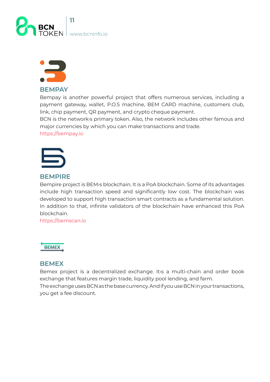<span id="page-10-0"></span>



#### **BEMPAY**

Bempay is another powerful project that offers numerous services, including a payment gateway, wallet, P.O.S machine, BEM CARD machine, customers club, link, chip payment, QR payment, and crypto cheque payment.

BCN is the network is primary token. Also, the network includes other famous and major currencies by which you can make transactions and trade.

https://bempay.io



#### **BEMPIRE**

Bempire project is BEM>s blockchain. It is a PoA blockchain. Some of its advantages include high transaction speed and significantly low cost. The blockchain was developed to support high transaction smart contracts as a fundamental solution. In addition to that, infinite validators of the blockchain have enhanced this PoA blockchain.

https://bemscan.io



#### **BEMEX**

Bemex project is a decentralized exchange. It>s a multi-chain and order book exchange that features margin trade, liquidity pool lending, and farm. The exchange uses BCN as the base currency. And if you use BCN in your transactions,

you get a fee discount.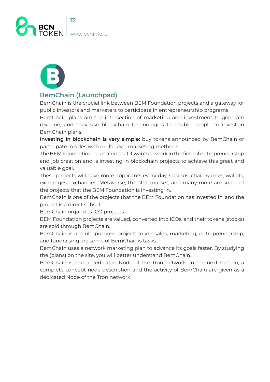<span id="page-11-0"></span>



#### **BemChain (Launchpad)**

BemChain is the crucial link between BEM Foundation projects and a gateway for public investors and marketers to participate in entrepreneurship programs.

BemChain plans are the intersection of marketing and investment to generate revenue, and they use blockchain technologies to enable people to invest in BemChain plans.

Investing in blockchain is very simple: buy tokens announced by BemChain or participate in sales with multi-level marketing methods.

The BEM Foundation has stated that it wants to work in the field of entrepreneurship and job creation and is investing in blockchain projects to achieve this great and valuable goal.

These projects will have more applicants every day. Casinos, chain games, wallets, exchanges, exchanges, Metaverse, the NFT market, and many more are some of the projects that the BEM Foundation is investing in.

BemChain is one of the projects that the BEM Foundation has invested in, and the project is a direct subset.

BemChain organizes ICO projects.

BEM Foundation projects are valued, converted into ICOs, and their tokens (stocks) are sold through BemChain.

BemChain is a multi-purpose project: token sales, marketing, entrepreneurship, and fundraising are some of BemChain is tasks.

BemChain uses a network marketing plan to advance its goals faster. By studying the (plans) on the site, you will better understand BemChain.

BemChain is also a dedicated Node of the Tron network. In the next section, a complete concept node description and the activity of BemChain are given as a dedicated Node of the Tron network.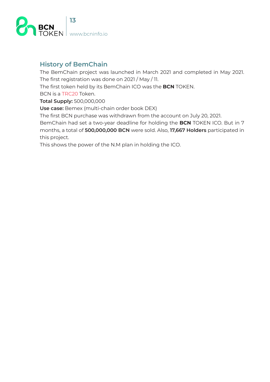<span id="page-12-0"></span>

## **History of BemChain**

The BemChain project was launched in March 2021 and completed in May 2021. The first registration was done on 2021 / May / 11.

The first token held by its BemChain ICO was the **BCN** TOKEN.

BCN is a TRC20 Token.

**Total Supply: 500,000,000** 

Use case: Bemex (multi-chain order book DEX)

The first BCN purchase was withdrawn from the account on July 20, 2021.

BemChain had set a two-year deadline for holding the BCN TOKEN ICO. But in 7 months, a total of 500,000,000 BCN were sold. Also, 17,667 Holders participated in this project.

This shows the power of the N.M plan in holding the ICO.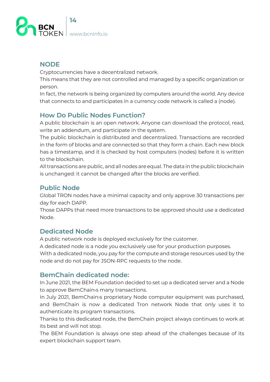<span id="page-13-0"></span>

## **NODE**

Cryptocurrencies have a decentralized network.

This means that they are not controlled and managed by a specific organization or person.

In fact, the network is being organized by computers around the world. Any device that connects to and participates in a currency code network is called a (node).

## **How Do Public Nodes Function?**

A public blockchain is an open network. Anyone can download the protocol, read, write an addendum, and participate in the system.

The public blockchain is distributed and decentralized. Transactions are recorded in the form of blocks and are connected so that they form a chain. Each new block has a timestamp, and it is checked by host computers (nodes) before it is written to the blockchain.

All transactions are public, and all nodes are equal. The data in the public blockchain is unchanged: it cannot be changed after the blocks are verified.

## **Public Node**

Global TRON nodes have a minimal capacity and only approve 30 transactions per day for each DAPP.

Those DAPPs that need more transactions to be approved should use a dedicated Node.

## **Dedicated Node**

A public network node is deployed exclusively for the customer.

A dedicated node is a node you exclusively use for your production purposes.

With a dedicated node, you pay for the compute and storage resources used by the node and do not pay for JSON-RPC requests to the node.

## **BemChain dedicated node:**

In June 2021, the BEM Foundation decided to set up a dedicated server and a Node to approve BemChain *is* many transactions.

In July 2021, BemChain is proprietary Node computer equipment was purchased, and BemChain is now a dedicated Tron network Node that only uses it to authenticate its program transactions.

Thanks to this dedicated node, the BemChain project always continues to work at its best and will not stop.

The BEM Foundation is always one step ahead of the challenges because of its expert blockchain support team.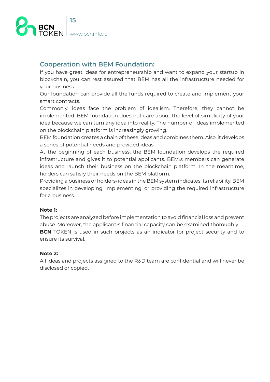<span id="page-14-0"></span>

## **Cooperation with BEM Foundation:**

If you have great ideas for entrepreneurship and want to expand your startup in blockchain, you can rest assured that BEM has all the infrastructure needed for your business.

Our foundation can provide all the funds required to create and implement your smart contracts.

Commonly, ideas face the problem of idealism. Therefore, they cannot be implemented. BEM foundation does not care about the level of simplicity of your idea because we can turn any idea into reality. The number of ideas implemented on the blockchain platform is increasingly growing.

BEM foundation creates a chain of these ideas and combines them. Also, it develops a series of potential needs and provided ideas.

At the beginning of each business, the BEM foundation develops the reguired infrastructure and gives it to potential applicants. BEM is members can generate ideas and launch their business on the blockchain platform. In the meantime, holders can satisfy their needs on the BEM platform.

Providing a business or holders ideas in the BEM system indicates its reliability. BEM specializes in developing, implementing, or providing the required infrastructure for a business.

#### **1: Note**

The projects are analyzed before implementation to avoid financial loss and prevent abuse. Moreover, the applicant is financial capacity can be examined thoroughly. **BCN** TOKEN is used in such projects as an indicator for project security and to ensure its survival.

#### **2: Note**

All ideas and projects assigned to the R&D team are confidential and will never be disclosed or copied.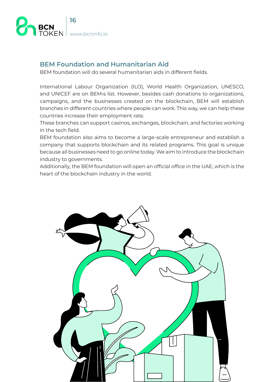<span id="page-15-0"></span>

## **BEM Foundation and Humanitarian Aid**

BEM foundation will do several humanitarian aids in different fields.

International Labour Organization (ILO), World Health Organization, UNESCO, and UNICEF are on BEM slist. However, besides cash donations to organizations, campaigns, and the businesses created on the blockchain, BEM will establish branches in different countries where people can work. This way, we can help these countries increase their employment rate.

These branches can support casinos, exchanges, blockchain, and factories working in the tech field.

BEM foundation also aims to become a large-scale entrepreneur and establish a company that supports blockchain and its related programs. This goal is unique because all businesses need to go online today. We aim to introduce the blockchain industry to governments.

Additionally, the BEM foundation will open an official office in the UAE, which is the heart of the blockchain industry in the world.

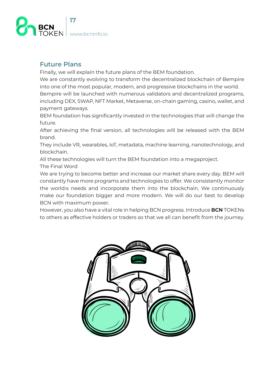<span id="page-16-0"></span>

## **Future Plans**

Finally, we will explain the future plans of the BEM foundation.

We are constantly evolving to transform the decentralized blockchain of Bempire into one of the most popular, modern, and progressive blockchains in the world.

Bempire will be launched with numerous validators and decentralized programs, including DEX, SWAP, NFT Market, Metaverse, on-chain gaming, casino, wallet, and payment gateways.

BEM foundation has significantly invested in the technologies that will change the future.

After achieving the final version, all technologies will be released with the BEM .brand

They include VR, wearables, IoT, metadata, machine learning, nanotechnology, and .blockchain

All these technologies will turn the BEM foundation into a megaproject.

The Final Word

We are trying to become better and increase our market share every day. BEM will constantly have more programs and technologies to offer. We consistently monitor the world<sub>'s</sub> needs and incorporate them into the blockchain. We continuously make our foundation bigger and more modern. We will do our best to develop BCN with maximum power.

However, you also have a vital role in helping BCN progress. Introduce **BCN** TOKENs to others as effective holders or traders so that we all can benefit from the journey.

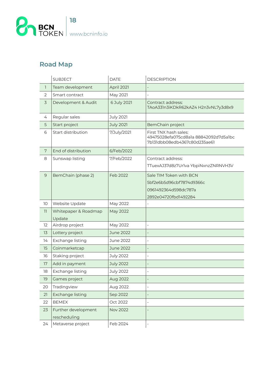<span id="page-17-0"></span>

## **Road Map**

|                          | <b>SUBJECT</b>                      | <b>DATE</b>      | <b>DESCRIPTION</b>                                                                             |
|--------------------------|-------------------------------------|------------------|------------------------------------------------------------------------------------------------|
| $\overline{\phantom{a}}$ | Team development                    | April 2021       |                                                                                                |
| $\overline{2}$           | Smart contract                      | May 2021         |                                                                                                |
| $\overline{3}$           | Development & Audit                 | 6 July 2021      | Contract address:<br>TAoA331n3iKDkR62kAZ4 H2n3vNL7y3d8x9                                       |
| 4                        | Regular sales                       | <b>July 2021</b> |                                                                                                |
| 5                        | Start project                       | <b>July 2021</b> | BemChain project                                                                               |
| 6                        | Start distribution                  | 7/July/2021      | First TNX hash sales:<br>49475028efa075cd8a1a 88842092d7d5a1bc<br>7b131dbb08edb4367c80d235ae61 |
| 7                        | End of distribution                 | 6/Feb/2022       |                                                                                                |
| 8                        | Sunswap listing                     | 7/Feb/2022       | Contract address:                                                                              |
|                          |                                     |                  | TTuexAJ37d8z7Urlva YbpiNxnzZNRNVH3V                                                            |
| $9$                      | BemChain (phase 2)                  | Feb 2022         | Sale TIM Token with BCN                                                                        |
|                          |                                     |                  | 5bf2e6b5d96cbf7874d9366c                                                                       |
|                          |                                     |                  | 0961492364d598dc787a                                                                           |
|                          |                                     |                  | 2892e04720fbd1492284                                                                           |
| 10                       | Website Update                      | May 2022         |                                                                                                |
| 11                       | Whitepaper & Roadmap                | May 2022         |                                                                                                |
|                          | Update                              |                  |                                                                                                |
| 12                       | Airdrop project                     | May 2022         | $\overline{\phantom{0}}$                                                                       |
| 13                       | Lottery project                     | <b>June 2022</b> | $\overline{\phantom{a}}$                                                                       |
| 14                       | Exchange listing                    | June 2022        | $\overline{\phantom{a}}$                                                                       |
| 15                       | Coinmarketcap                       | <b>June 2022</b> |                                                                                                |
| 16                       | Staking project                     | <b>July 2022</b> | $\overline{\phantom{a}}$                                                                       |
| 17                       | Add in payment                      | <b>July 2022</b> |                                                                                                |
| 18                       | Exchange listing                    | <b>July 2022</b> | $\overline{a}$                                                                                 |
| 19                       | Games project                       | <b>Aug 2022</b>  |                                                                                                |
| 20                       | Tradingview                         | Aug 2022         | $\overline{\phantom{a}}$                                                                       |
| 21                       | Exchange listing                    | Sep 2022         |                                                                                                |
| 22                       | <b>BEMEX</b>                        | Oct 2022         | $\overline{\phantom{a}}$                                                                       |
| 23                       | Further development<br>rescheduling | <b>Nov 2022</b>  |                                                                                                |
| 24                       | Metaverse project                   | Feb 2024         |                                                                                                |